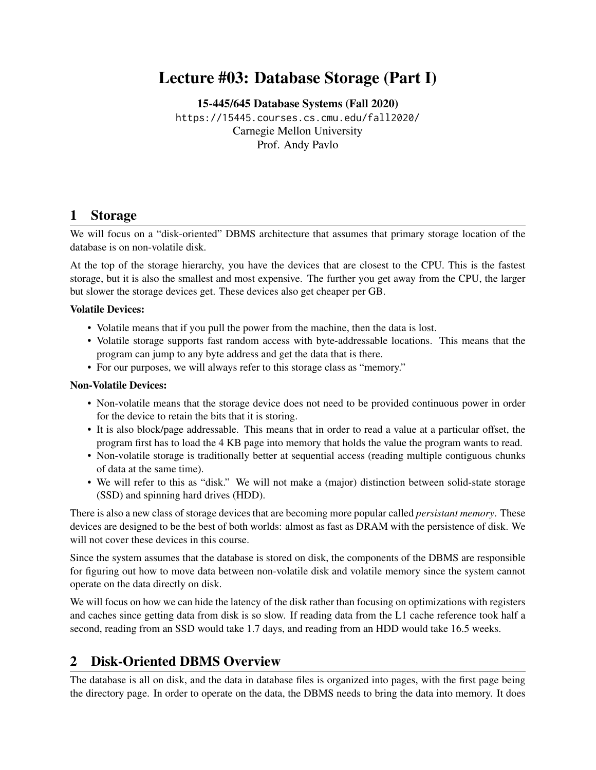# Lecture #03: Database Storage (Part I)

[15-445/645 Database Systems \(Fall 2020\)](https://15445.courses.cs.cmu.edu/fall2020/) <https://15445.courses.cs.cmu.edu/fall2020/> Carnegie Mellon University [Prof. Andy Pavlo](http://www.cs.cmu.edu/~pavlo/)

#### 1 Storage

We will focus on a "disk-oriented" DBMS architecture that assumes that primary storage location of the database is on non-volatile disk.

At the top of the storage hierarchy, you have the devices that are closest to the CPU. This is the fastest storage, but it is also the smallest and most expensive. The further you get away from the CPU, the larger but slower the storage devices get. These devices also get cheaper per GB.

#### Volatile Devices:

- Volatile means that if you pull the power from the machine, then the data is lost.
- Volatile storage supports fast random access with byte-addressable locations. This means that the program can jump to any byte address and get the data that is there.
- For our purposes, we will always refer to this storage class as "memory."

#### Non-Volatile Devices:

- Non-volatile means that the storage device does not need to be provided continuous power in order for the device to retain the bits that it is storing.
- It is also block/page addressable. This means that in order to read a value at a particular offset, the program first has to load the 4 KB page into memory that holds the value the program wants to read.
- Non-volatile storage is traditionally better at sequential access (reading multiple contiguous chunks of data at the same time).
- We will refer to this as "disk." We will not make a (major) distinction between solid-state storage (SSD) and spinning hard drives (HDD).

There is also a new class of storage devices that are becoming more popular called *persistant memory*. These devices are designed to be the best of both worlds: almost as fast as DRAM with the persistence of disk. We will not cover these devices in this course.

Since the system assumes that the database is stored on disk, the components of the DBMS are responsible for figuring out how to move data between non-volatile disk and volatile memory since the system cannot operate on the data directly on disk.

We will focus on how we can hide the latency of the disk rather than focusing on optimizations with registers and caches since getting data from disk is so slow. If reading data from the L1 cache reference took half a second, reading from an SSD would take 1.7 days, and reading from an HDD would take 16.5 weeks.

### 2 Disk-Oriented DBMS Overview

The database is all on disk, and the data in database files is organized into pages, with the first page being the directory page. In order to operate on the data, the DBMS needs to bring the data into memory. It does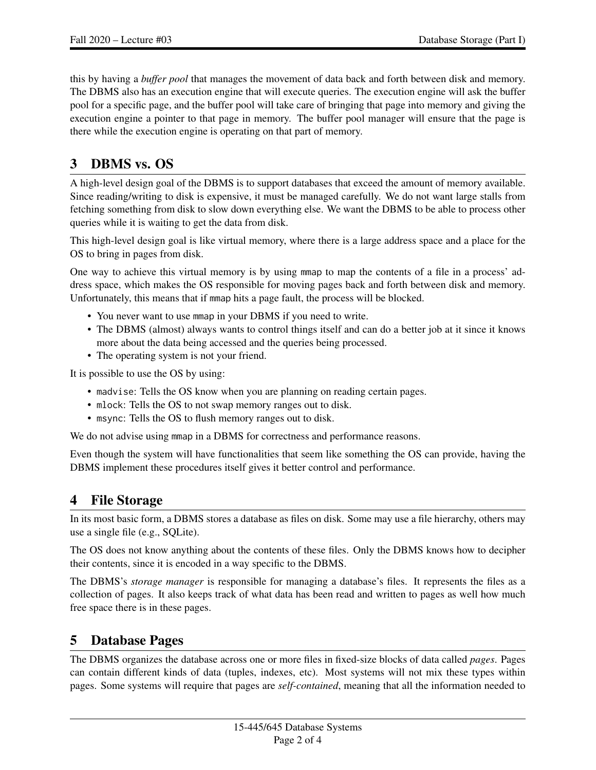this by having a *buffer pool* that manages the movement of data back and forth between disk and memory. The DBMS also has an execution engine that will execute queries. The execution engine will ask the buffer pool for a specific page, and the buffer pool will take care of bringing that page into memory and giving the execution engine a pointer to that page in memory. The buffer pool manager will ensure that the page is there while the execution engine is operating on that part of memory.

## 3 DBMS vs. OS

A high-level design goal of the DBMS is to support databases that exceed the amount of memory available. Since reading/writing to disk is expensive, it must be managed carefully. We do not want large stalls from fetching something from disk to slow down everything else. We want the DBMS to be able to process other queries while it is waiting to get the data from disk.

This high-level design goal is like virtual memory, where there is a large address space and a place for the OS to bring in pages from disk.

One way to achieve this virtual memory is by using mmap to map the contents of a file in a process' address space, which makes the OS responsible for moving pages back and forth between disk and memory. Unfortunately, this means that if mmap hits a page fault, the process will be blocked.

- You never want to use mmap in your DBMS if you need to write.
- The DBMS (almost) always wants to control things itself and can do a better job at it since it knows more about the data being accessed and the queries being processed.
- The operating system is not your friend.

It is possible to use the OS by using:

- madvise: Tells the OS know when you are planning on reading certain pages.
- mlock: Tells the OS to not swap memory ranges out to disk.
- msync: Tells the OS to flush memory ranges out to disk.

We do not advise using mmap in a DBMS for correctness and performance reasons.

Even though the system will have functionalities that seem like something the OS can provide, having the DBMS implement these procedures itself gives it better control and performance.

#### 4 File Storage

In its most basic form, a DBMS stores a database as files on disk. Some may use a file hierarchy, others may use a single file (e.g., SQLite).

The OS does not know anything about the contents of these files. Only the DBMS knows how to decipher their contents, since it is encoded in a way specific to the DBMS.

The DBMS's *storage manager* is responsible for managing a database's files. It represents the files as a collection of pages. It also keeps track of what data has been read and written to pages as well how much free space there is in these pages.

#### 5 Database Pages

The DBMS organizes the database across one or more files in fixed-size blocks of data called *pages*. Pages can contain different kinds of data (tuples, indexes, etc). Most systems will not mix these types within pages. Some systems will require that pages are *self-contained*, meaning that all the information needed to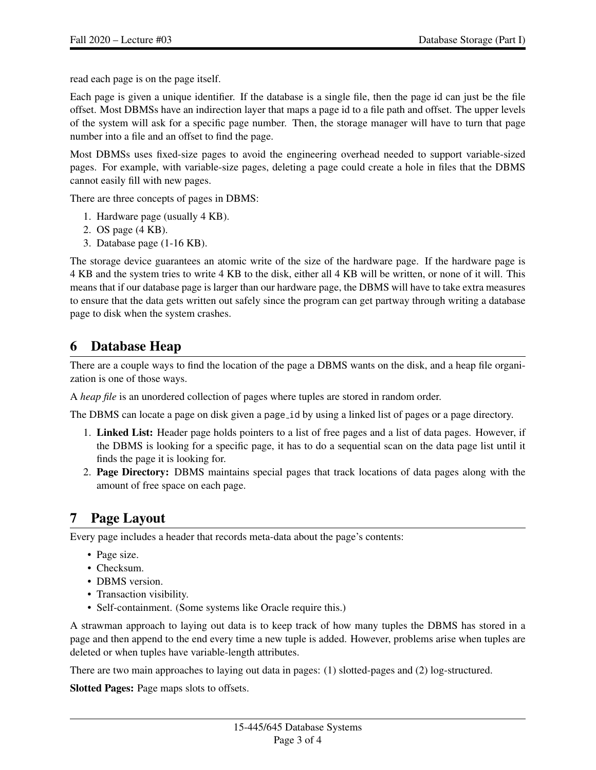read each page is on the page itself.

Each page is given a unique identifier. If the database is a single file, then the page id can just be the file offset. Most DBMSs have an indirection layer that maps a page id to a file path and offset. The upper levels of the system will ask for a specific page number. Then, the storage manager will have to turn that page number into a file and an offset to find the page.

Most DBMSs uses fixed-size pages to avoid the engineering overhead needed to support variable-sized pages. For example, with variable-size pages, deleting a page could create a hole in files that the DBMS cannot easily fill with new pages.

There are three concepts of pages in DBMS:

- 1. Hardware page (usually 4 KB).
- 2. OS page (4 KB).
- 3. Database page (1-16 KB).

The storage device guarantees an atomic write of the size of the hardware page. If the hardware page is 4 KB and the system tries to write 4 KB to the disk, either all 4 KB will be written, or none of it will. This means that if our database page is larger than our hardware page, the DBMS will have to take extra measures to ensure that the data gets written out safely since the program can get partway through writing a database page to disk when the system crashes.

### 6 Database Heap

There are a couple ways to find the location of the page a DBMS wants on the disk, and a heap file organization is one of those ways.

A *heap file* is an unordered collection of pages where tuples are stored in random order.

The DBMS can locate a page on disk given a page id by using a linked list of pages or a page directory.

- 1. Linked List: Header page holds pointers to a list of free pages and a list of data pages. However, if the DBMS is looking for a specific page, it has to do a sequential scan on the data page list until it finds the page it is looking for.
- 2. Page Directory: DBMS maintains special pages that track locations of data pages along with the amount of free space on each page.

### 7 Page Layout

Every page includes a header that records meta-data about the page's contents:

- Page size.
- Checksum.
- DBMS version.
- Transaction visibility.
- Self-containment. (Some systems like Oracle require this.)

A strawman approach to laying out data is to keep track of how many tuples the DBMS has stored in a page and then append to the end every time a new tuple is added. However, problems arise when tuples are deleted or when tuples have variable-length attributes.

There are two main approaches to laying out data in pages: (1) slotted-pages and (2) log-structured.

Slotted Pages: Page maps slots to offsets.